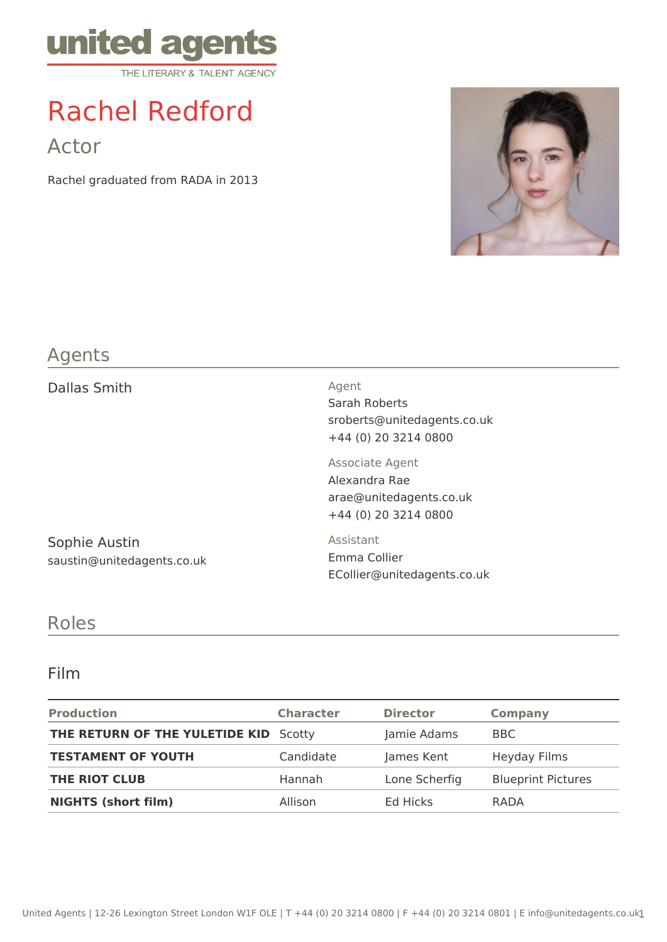

# Rachel Redford

Actor

Rachel graduated from RADA in 2013



### Agents

| Dallas Smith                                | Agent<br>Sarah Roberts<br>sroberts@unitedagents.co.uk<br>+44 (0) 20 3214 0800       |  |
|---------------------------------------------|-------------------------------------------------------------------------------------|--|
|                                             | Associate Agent<br>Alexandra Rae<br>arae@unitedagents.co.uk<br>+44 (0) 20 3214 0800 |  |
| Sophie Austin<br>saustin@unitedagents.co.uk | Assistant<br>Emma Collier<br>ECollier@unitedagents.co.uk                            |  |

#### Roles

#### Film

| <b>Production</b>                            | <b>Character</b> | <b>Director</b> | Company                   |
|----------------------------------------------|------------------|-----------------|---------------------------|
| <b>THE RETURN OF THE YULETIDE KID</b> Scotty |                  | Jamie Adams     | BBC                       |
| <b>TESTAMENT OF YOUTH</b>                    | Candidate        | James Kent      | Heyday Films              |
| <b>THE RIOT CLUB</b>                         | Hannah           | Lone Scherfig   | <b>Blueprint Pictures</b> |
| <b>NIGHTS (short film)</b>                   | Allison          | Ed Hicks        | RADA                      |